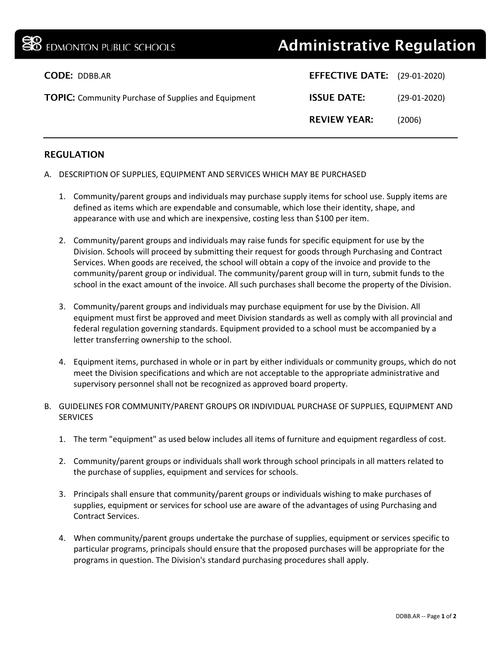## EDMONTON PUBLIC SCHOOLS **Administrative Regulation**

| <b>CODE: DDBB.AR</b>                                       | <b>EFFECTIVE DATE:</b> (29-01-2020) |                |
|------------------------------------------------------------|-------------------------------------|----------------|
| <b>TOPIC:</b> Community Purchase of Supplies and Equipment | <b>ISSUE DATE:</b>                  | $(29-01-2020)$ |
|                                                            | <b>REVIEW YEAR:</b>                 | (2006)         |

## REGULATION

- A. DESCRIPTION OF SUPPLIES, EQUIPMENT AND SERVICES WHICH MAY BE PURCHASED
	- 1. Community/parent groups and individuals may purchase supply items for school use. Supply items are defined as items which are expendable and consumable, which lose their identity, shape, and appearance with use and which are inexpensive, costing less than \$100 per item.
	- 2. Community/parent groups and individuals may raise funds for specific equipment for use by the Division. Schools will proceed by submitting their request for goods through Purchasing and Contract Services. When goods are received, the school will obtain a copy of the invoice and provide to the community/parent group or individual. The community/parent group will in turn, submit funds to the school in the exact amount of the invoice. All such purchases shall become the property of the Division.
	- 3. Community/parent groups and individuals may purchase equipment for use by the Division. All equipment must first be approved and meet Division standards as well as comply with all provincial and federal regulation governing standards. Equipment provided to a school must be accompanied by a letter transferring ownership to the school.
	- 4. Equipment items, purchased in whole or in part by either individuals or community groups, which do not meet the Division specifications and which are not acceptable to the appropriate administrative and supervisory personnel shall not be recognized as approved board property.
- B. GUIDELINES FOR COMMUNITY/PARENT GROUPS OR INDIVIDUAL PURCHASE OF SUPPLIES, EQUIPMENT AND **SERVICES** 
	- 1. The term "equipment" as used below includes all items of furniture and equipment regardless of cost.
	- 2. Community/parent groups or individuals shall work through school principals in all matters related to the purchase of supplies, equipment and services for schools.
	- 3. Principals shall ensure that community/parent groups or individuals wishing to make purchases of supplies, equipment or services for school use are aware of the advantages of using Purchasing and Contract Services.
	- 4. When community/parent groups undertake the purchase of supplies, equipment or services specific to particular programs, principals should ensure that the proposed purchases will be appropriate for the programs in question. The Division's standard purchasing procedures shall apply.